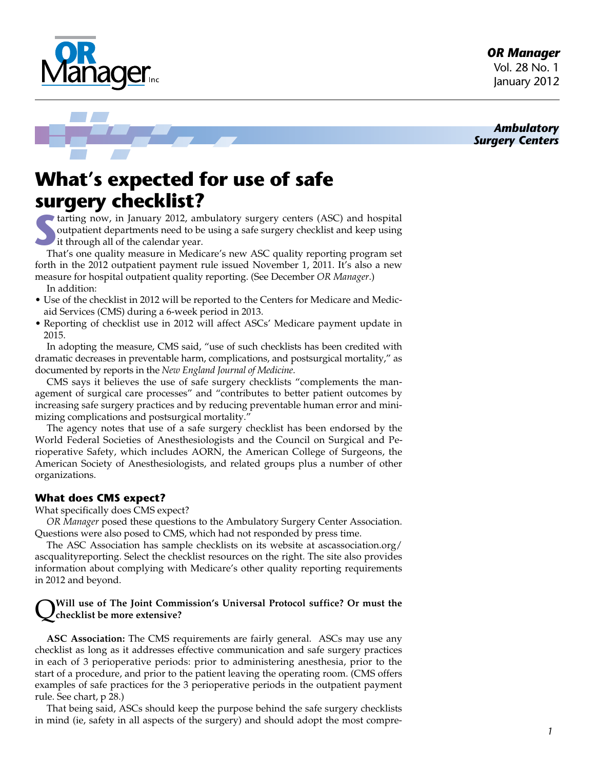*OR Manager* Vol. 28 No. 1 January 2012

*Ambulatory Surgery Centers*





# **What's expected for use of safe surgery checklist?**

**S**tarting now, in January 2012, ambulatory surgery centers (ASC) and hospital outpatient departments need to be using a safe surgery checklist and keep using it through all of the calendar year.

That's one quality measure in Medicare's new ASC quality reporting program set forth in the 2012 outpatient payment rule issued November 1, 2011. It's also a new measure for hospital outpatient quality reporting. (See December *OR Manager*.) In addition:

- Use of the checklist in 2012 will be reported to the Centers for Medicare and Medicaid Services (CMS) during a 6-week period in 2013.
- Reporting of checklist use in 2012 will affect ASCs' Medicare payment update in 2015.

In adopting the measure, CMS said, "use of such checklists has been credited with dramatic decreases in preventable harm, complications, and postsurgical mortality," as documented by reports in the *New England Journal of Medicine*.

CMS says it believes the use of safe surgery checklists "complements the management of surgical care processes" and "contributes to better patient outcomes by increasing safe surgery practices and by reducing preventable human error and minimizing complications and postsurgical mortality."

The agency notes that use of a safe surgery checklist has been endorsed by the World Federal Societies of Anesthesiologists and the Council on Surgical and Perioperative Safety, which includes AORN, the American College of Surgeons, the American Society of Anesthesiologists, and related groups plus a number of other organizations.

# **What does CMS expect?**

What specifically does CMS expect?

*OR Manager* posed these questions to the Ambulatory Surgery Center Association. Questions were also posed to CMS, which had not responded by press time.

The ASC Association has sample checklists on its website at ascassociation.org/ ascqualityreporting. Select the checklist resources on the right. The site also provides information about complying with Medicare's other quality reporting requirements in 2012 and beyond.

### Q**Will use of The Joint Commission's Universal Protocol suffice? Or must the checklist be more extensive?**

**ASC Association:** The CMS requirements are fairly general. ASCs may use any checklist as long as it addresses effective communication and safe surgery practices in each of 3 perioperative periods: prior to administering anesthesia, prior to the start of a procedure, and prior to the patient leaving the operating room. (CMS offers examples of safe practices for the 3 perioperative periods in the outpatient payment rule. See chart, p 28.)

That being said, ASCs should keep the purpose behind the safe surgery checklists in mind (ie, safety in all aspects of the surgery) and should adopt the most compre-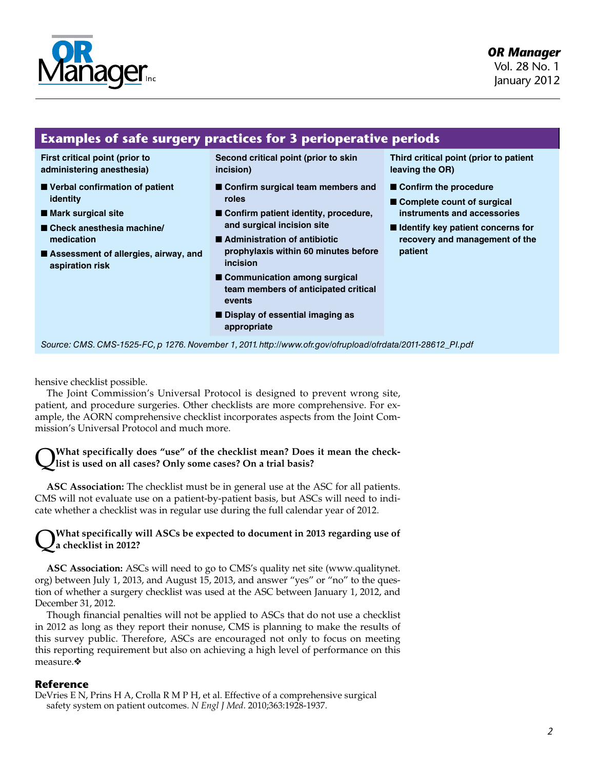

# *OR Manager*

Vol. 28 No. 1 January 2012

# **Examples of safe surgery practices for 3 perioperative periods**

**First critical point (prior to administering anesthesia)**

- Verbal confirmation of patient **identity**
- **Mark surgical site**
- Check anesthesia machine/ **medication**
- Assessment of allergies, airway, and **aspiration risk**

**Second critical point (prior to skin incision)**

- Confirm surgical team members and **roles**
- Confirm patient identity, procedure, **and surgical incision site**
- **Administration of antibiotic prophylaxis within 60 minutes before incision**
- Communication among surgical **team members of anticipated critical events**
- **Display of essential imaging as appropriate**

**Third critical point (prior to patient leaving the OR)**

- **Confirm the procedure**
- **Complete count of surgical instruments and accessories**
- **Identify key patient concerns for recovery and management of the patient**

*Source: CMS. CMS-1525-FC, p 1276. November 1, 2011. http://www.ofr.gov/ofrupload/ofrdata/2011-28612\_PI.pdf*

hensive checklist possible.

The Joint Commission's Universal Protocol is designed to prevent wrong site, patient, and procedure surgeries. Other checklists are more comprehensive. For example, the AORN comprehensive checklist incorporates aspects from the Joint Commission's Universal Protocol and much more.

### What specifically does "use" of the checklist mean? Does it mean the check**list is used on all cases? Only some cases? On a trial basis?**

**ASC Association:** The checklist must be in general use at the ASC for all patients. CMS will not evaluate use on a patient-by-patient basis, but ASCs will need to indicate whether a checklist was in regular use during the full calendar year of 2012.

### Q**What specifically will ASCs be expected to document in 2013 regarding use of a checklist in 2012?**

**ASC Association:** ASCs will need to go to CMS's quality net site (www.qualitynet. org) between July 1, 2013, and August 15, 2013, and answer "yes" or "no" to the question of whether a surgery checklist was used at the ASC between January 1, 2012, and December 31, 2012.

Though financial penalties will not be applied to ASCs that do not use a checklist in 2012 as long as they report their nonuse, CMS is planning to make the results of this survey public. Therefore, ASCs are encouraged not only to focus on meeting this reporting requirement but also on achieving a high level of performance on this measure.❖

### **Reference**

DeVries E N, Prins H A, Crolla R M P H, et al. Effective of a comprehensive surgical safety system on patient outcomes. *N Engl J Med*. 2010;363:1928-1937.